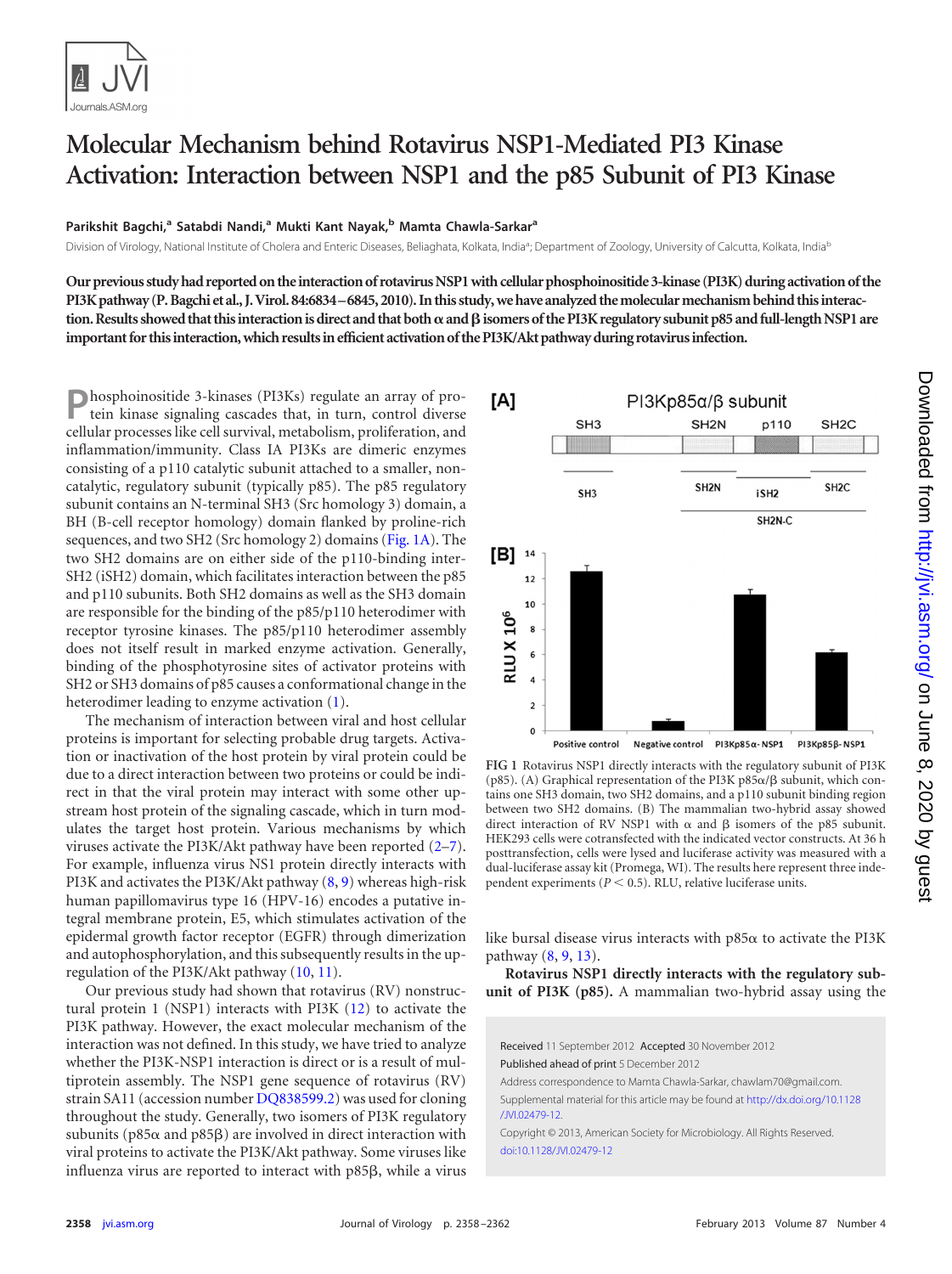

## **Molecular Mechanism behind Rotavirus NSP1-Mediated PI3 Kinase Activation: Interaction between NSP1 and the p85 Subunit of PI3 Kinase**

## **Parikshit Bagchi, <sup>a</sup> Satabdi Nandi, <sup>a</sup> Mukti Kant Nayak, <sup>b</sup> Mamta Chawla-Sarkara**

Division of Virology, National Institute of Cholera and Enteric Diseases, Beliaghata, Kolkata, India<sup>a</sup>; Department of Zoology, University of Calcutta, Kolkata, India<sup>b</sup>

**Our previous study had reported on the interaction of rotavirus NSP1 with cellular phosphoinositide 3-kinase (PI3K) during activation of the PI3K pathway (P. Bagchi et al., J. Virol. 84:6834–6845, 2010). In this study, we have analyzed the molecular mechanism behind this interac**tion. Results showed that this interaction is direct and that both  $\alpha$  and  $\beta$  isomers of the PI3K regulatory subunit p85 and full-length NSP1 are **important for this interaction, which results in efficient activation of the PI3K/Akt pathway during rotavirus infection.**

**P**hosphoinositide 3-kinases (PI3Ks) regulate an array of protein kinase signaling cascades that, in turn, control diverse cellular processes like cell survival, metabolism, proliferation, and inflammation/immunity. Class IA PI3Ks are dimeric enzymes consisting of a p110 catalytic subunit attached to a smaller, noncatalytic, regulatory subunit (typically p85). The p85 regulatory subunit contains an N-terminal SH3 (Src homology 3) domain, a BH (B-cell receptor homology) domain flanked by proline-rich sequences, and two SH2 (Src homology 2) domains [\(Fig. 1A\)](#page-0-0). The two SH2 domains are on either side of the p110-binding inter-SH2 (iSH2) domain, which facilitates interaction between the p85 and p110 subunits. Both SH2 domains as well as the SH3 domain are responsible for the binding of the p85/p110 heterodimer with receptor tyrosine kinases. The p85/p110 heterodimer assembly does not itself result in marked enzyme activation. Generally, binding of the phosphotyrosine sites of activator proteins with SH2 or SH3 domains of p85 causes a conformational change in the heterodimer leading to enzyme activation [\(1\)](#page-3-0).

The mechanism of interaction between viral and host cellular proteins is important for selecting probable drug targets. Activation or inactivation of the host protein by viral protein could be due to a direct interaction between two proteins or could be indirect in that the viral protein may interact with some other upstream host protein of the signaling cascade, which in turn modulates the target host protein. Various mechanisms by which viruses activate the PI3K/Akt pathway have been reported [\(2](#page-3-1)[–7\)](#page-4-0). For example, influenza virus NS1 protein directly interacts with PI3K and activates the PI3K/Akt pathway [\(8,](#page-4-1) [9\)](#page-4-2) whereas high-risk human papillomavirus type 16 (HPV-16) encodes a putative integral membrane protein, E5, which stimulates activation of the epidermal growth factor receptor (EGFR) through dimerization and autophosphorylation, and this subsequently results in the upregulation of the PI3K/Akt pathway [\(10,](#page-4-3) [11\)](#page-4-4).

Our previous study had shown that rotavirus (RV) nonstructural protein 1 (NSP1) interacts with PI3K [\(12\)](#page-4-5) to activate the PI3K pathway. However, the exact molecular mechanism of the interaction was not defined. In this study, we have tried to analyze whether the PI3K-NSP1 interaction is direct or is a result of multiprotein assembly. The NSP1 gene sequence of rotavirus (RV) strain SA11 (accession number [DQ838599.2\)](http://www.ncbi.nlm.nih.gov/nuccore?term=DQ838599.2) was used for cloning throughout the study. Generally, two isomers of PI3K regulatory subunits (p85 $\alpha$  and p85 $\beta$ ) are involved in direct interaction with viral proteins to activate the PI3K/Akt pathway. Some viruses like influenza virus are reported to interact with  $p85\beta$ , while a virus



<span id="page-0-0"></span>**FIG 1** Rotavirus NSP1 directly interacts with the regulatory subunit of PI3K (p85). (A) Graphical representation of the PI3K p85 $\alpha$ / $\beta$  subunit, which contains one SH3 domain, two SH2 domains, and a p110 subunit binding region between two SH2 domains. (B) The mammalian two-hybrid assay showed direct interaction of RV NSP1 with  $\alpha$  and  $\beta$  isomers of the p85 subunit. HEK293 cells were cotransfected with the indicated vector constructs. At 36 h posttransfection, cells were lysed and luciferase activity was measured with a dual-luciferase assay kit (Promega, WI). The results here represent three independent experiments ( $P < 0.5$ ). RLU, relative luciferase units.

like bursal disease virus interacts with  $p85\alpha$  to activate the PI3K pathway [\(8,](#page-4-1) [9,](#page-4-2) [13\)](#page-4-6).

**Rotavirus NSP1 directly interacts with the regulatory subunit of PI3K (p85).** A mammalian two-hybrid assay using the

Received 11 September 2012 Accepted 30 November 2012 Published ahead of print 5 December 2012 Address correspondence to Mamta Chawla-Sarkar, chawlam70@gmail.com.

Supplemental material for this article may be found at [http://dx.doi.org/10.1128](http://dx.doi.org/10.1128/JVI.02479-12) [/JVI.02479-12.](http://dx.doi.org/10.1128/JVI.02479-12)

Copyright © 2013, American Society for Microbiology. All Rights Reserved. [doi:10.1128/JVI.02479-12](http://dx.doi.org/10.1128/JVI.02479-12)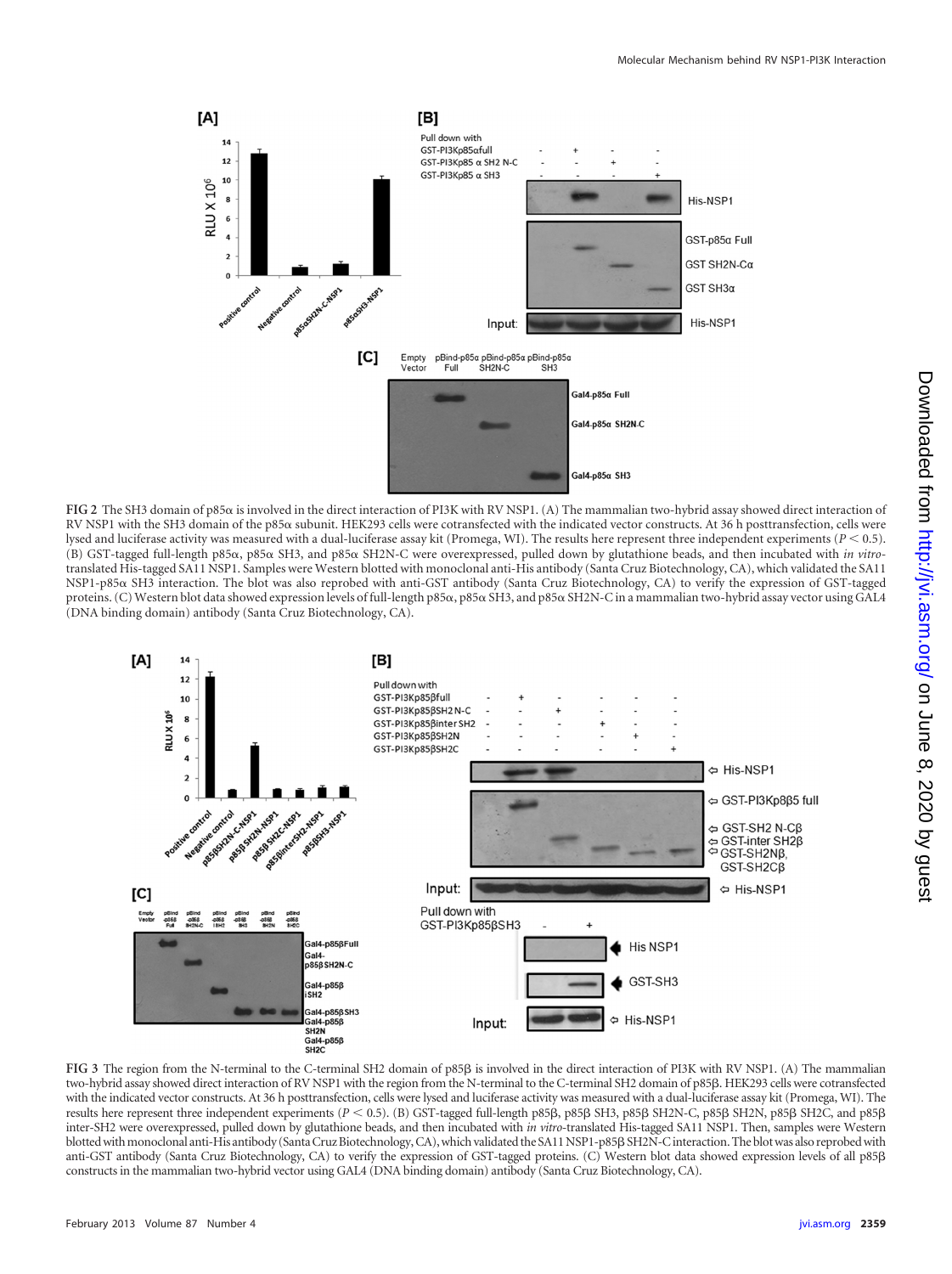

<span id="page-1-0"></span>FIG 2 The SH3 domain of p85 $\alpha$  is involved in the direct interaction of PI3K with RV NSP1. (A) The mammalian two-hybrid assay showed direct interaction of RV NSP1 with the SH3 domain of the p85α subunit. HEK293 cells were cotransfected with the indicated vector constructs. At 36 h posttransfection, cells were lysed and luciferase activity was measured with a dual-luciferase assay kit (Promega, WI). The results here represent three independent experiments (*P* 0.5). (B) GST-tagged full-length p85α, p85α SH3, and p85α SH2N-C were overexpressed, pulled down by glutathione beads, and then incubated with *in vitro*translated His-tagged SA11 NSP1. Samples were Western blotted with monoclonal anti-His antibody (Santa Cruz Biotechnology, CA), which validated the SA11 NSP1-p85 SH3 interaction. The blot was also reprobed with anti-GST antibody (Santa Cruz Biotechnology, CA) to verify the expression of GST-tagged proteins. (C) Western blot data showed expression levels of full-length p85 $\alpha$ , p85 $\alpha$  SH3, and p85 $\alpha$  SH2N-C in a mammalian two-hybrid assay vector using GAL4 (DNA binding domain) antibody (Santa Cruz Biotechnology, CA).



<span id="page-1-1"></span>FIG 3 The region from the N-terminal to the C-terminal SH2 domain of p85 $\beta$  is involved in the direct interaction of PI3K with RV NSP1. (A) The mammalian two-hybrid assay showed direct interaction of RV NSP1 with the region from the N-terminal to the C-terminal SH2 domain of p85β. HEK293 cells were cotransfected with the indicated vector constructs. At 36 h posttransfection, cells were lysed and luciferase activity was measured with a dual-luciferase assay kit (Promega, WI). The results here represent three independent experiments (*P* < 0.5). (B) GST-tagged full-length p85B, p85B SH3, p85B SH2N-C, p85B SH2N, p85B SH2C, and p85B inter-SH2 were overexpressed, pulled down by glutathione beads, and then incubated with *in vitro*-translated His-tagged SA11 NSP1. Then, samples were Western blotted with monoclonal anti-His antibody (Santa Cruz Biotechnology, CA), which validated the SA11 NSP1-p85β SH2N-C interaction. The blot was also reprobed with anti-GST antibody (Santa Cruz Biotechnology, CA) to verify the expression of GST-tagged proteins. (C) Western blot data showed expression levels of all p85ß constructs in the mammalian two-hybrid vector using GAL4 (DNA binding domain) antibody (Santa Cruz Biotechnology, CA).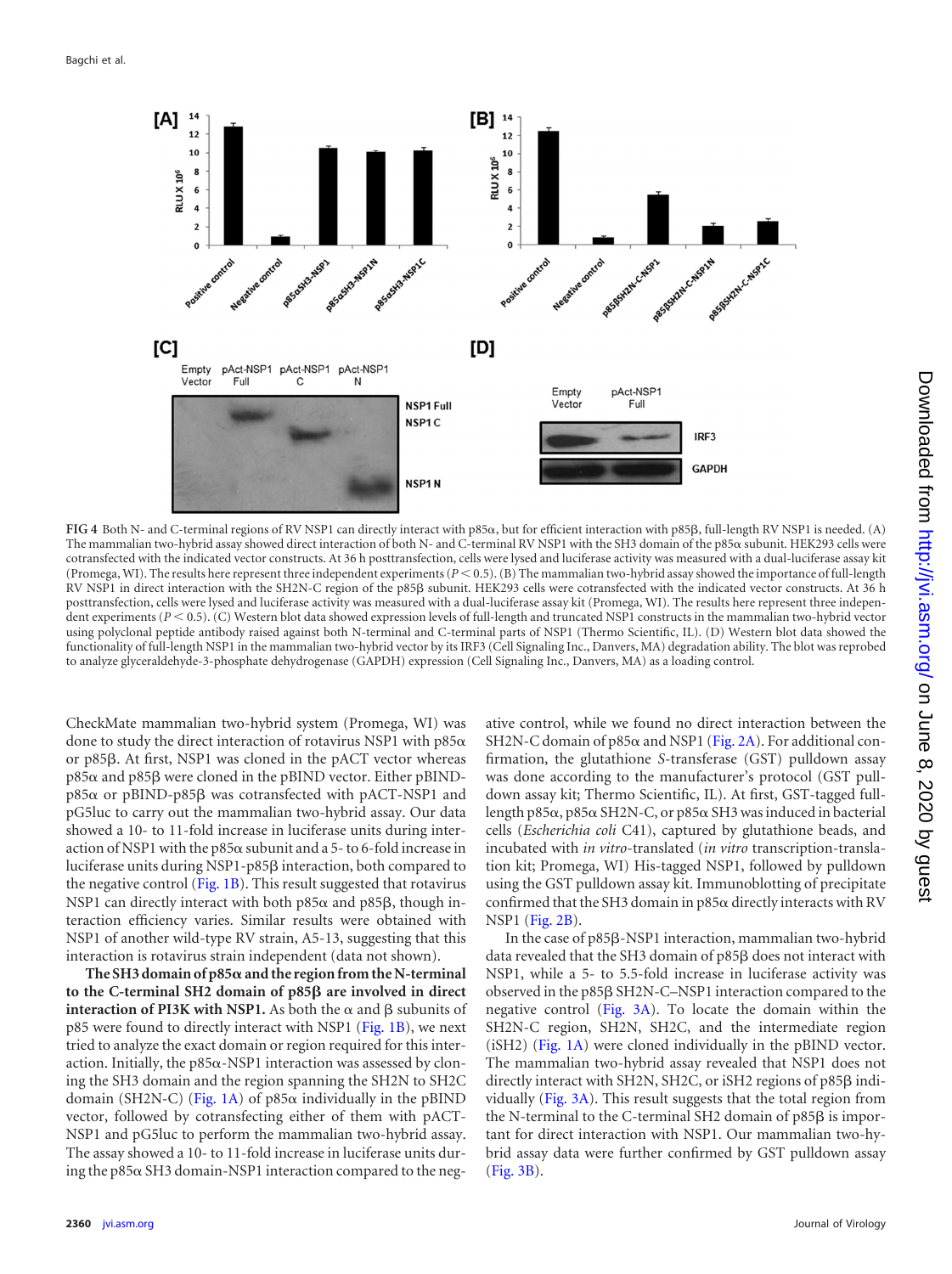

<span id="page-2-0"></span>FIG 4 Both N- and C-terminal regions of RV NSP1 can directly interact with p85 $\alpha$ , but for efficient interaction with p85 $\beta$ , full-length RV NSP1 is needed. (A) The mammalian two-hybrid assay showed direct interaction of both N- and C-terminal RV NSP1 with the SH3 domain of the p85 $\alpha$  subunit. HEK293 cells were cotransfected with the indicated vector constructs. At 36 h posttransfection, cells were lysed and luciferase activity was measured with a dual-luciferase assay kit (Promega, WI). The results here represent three independent experiments ( $P < 0.5$ ). (B) The mammalian two-hybrid assay showed the importance of full-length RV NSP1 in direct interaction with the SH2N-C region of the p85B subunit. HEK293 cells were cotransfected with the indicated vector constructs. At 36 h posttransfection, cells were lysed and luciferase activity was measured with a dual-luciferase assay kit (Promega, WI). The results here represent three independent experiments ( $P < 0.5$ ). (C) Western blot data showed expression levels of full-length and truncated NSP1 constructs in the mammalian two-hybrid vector using polyclonal peptide antibody raised against both N-terminal and C-terminal parts of NSP1 (Thermo Scientific, IL). (D) Western blot data showed the functionality of full-length NSP1 in the mammalian two-hybrid vector by its IRF3 (Cell Signaling Inc., Danvers, MA) degradation ability. The blot was reprobed to analyze glyceraldehyde-3-phosphate dehydrogenase (GAPDH) expression (Cell Signaling Inc., Danvers, MA) as a loading control.

CheckMate mammalian two-hybrid system (Promega, WI) was done to study the direct interaction of rotavirus NSP1 with  $p85\alpha$ or p85ß. At first, NSP1 was cloned in the pACT vector whereas p85 $\alpha$  and p85 $\beta$  were cloned in the pBIND vector. Either pBINDp85 $\alpha$  or pBIND-p85 $\beta$  was cotransfected with pACT-NSP1 and pG5luc to carry out the mammalian two-hybrid assay. Our data showed a 10- to 11-fold increase in luciferase units during interaction of NSP1 with the  $p85\alpha$  subunit and a 5- to 6-fold increase in luciferase units during NSP1-p85β interaction, both compared to the negative control [\(Fig. 1B\)](#page-0-0). This result suggested that rotavirus NSP1 can directly interact with both  $p85\alpha$  and  $p85\beta$ , though interaction efficiency varies. Similar results were obtained with NSP1 of another wild-type RV strain, A5-13, suggesting that this interaction is rotavirus strain independent (data not shown).

**The SH3 domain of p85and the region from the N-terminal to the C-terminal SH2 domain of p85β are involved in direct interaction of PI3K with NSP1.** As both the  $\alpha$  and  $\beta$  subunits of p85 were found to directly interact with NSP1 [\(Fig. 1B\)](#page-0-0), we next tried to analyze the exact domain or region required for this interaction. Initially, the  $p85\alpha$ -NSP1 interaction was assessed by cloning the SH3 domain and the region spanning the SH2N to SH2C domain (SH2N-C) [\(Fig. 1A\)](#page-0-0) of  $p85\alpha$  individually in the pBIND vector, followed by cotransfecting either of them with pACT-NSP1 and pG5luc to perform the mammalian two-hybrid assay. The assay showed a 10- to 11-fold increase in luciferase units during the  $p85\alpha$  SH3 domain-NSP1 interaction compared to the neg-

ative control, while we found no direct interaction between the SH2N-C domain of p85 $\alpha$  and NSP1 [\(Fig. 2A\)](#page-1-0). For additional confirmation, the glutathione *S*-transferase (GST) pulldown assay was done according to the manufacturer's protocol (GST pulldown assay kit; Thermo Scientific, IL). At first, GST-tagged fulllength p85 $\alpha$ , p85 $\alpha$  SH2N-C, or p85 $\alpha$  SH3 was induced in bacterial cells (*Escherichia coli* C41), captured by glutathione beads, and incubated with *in vitro*-translated (*in vitro* transcription-translation kit; Promega, WI) His-tagged NSP1, followed by pulldown using the GST pulldown assay kit. Immunoblotting of precipitate confirmed that the SH3 domain in  $p85\alpha$  directly interacts with RV NSP1 [\(Fig. 2B\)](#page-1-0).

In the case of p85ß-NSP1 interaction, mammalian two-hybrid data revealed that the SH3 domain of p85ß does not interact with NSP1, while a 5- to 5.5-fold increase in luciferase activity was observed in the p85ß SH2N-C-NSP1 interaction compared to the negative control [\(Fig. 3A\)](#page-1-1). To locate the domain within the SH2N-C region, SH2N, SH2C, and the intermediate region (iSH2) [\(Fig. 1A\)](#page-0-0) were cloned individually in the pBIND vector. The mammalian two-hybrid assay revealed that NSP1 does not directly interact with SH2N, SH2C, or iSH2 regions of p85ß individually [\(Fig. 3A\)](#page-1-1). This result suggests that the total region from the N-terminal to the C-terminal SH2 domain of  $p85\beta$  is important for direct interaction with NSP1. Our mammalian two-hybrid assay data were further confirmed by GST pulldown assay [\(Fig. 3B\)](#page-1-1).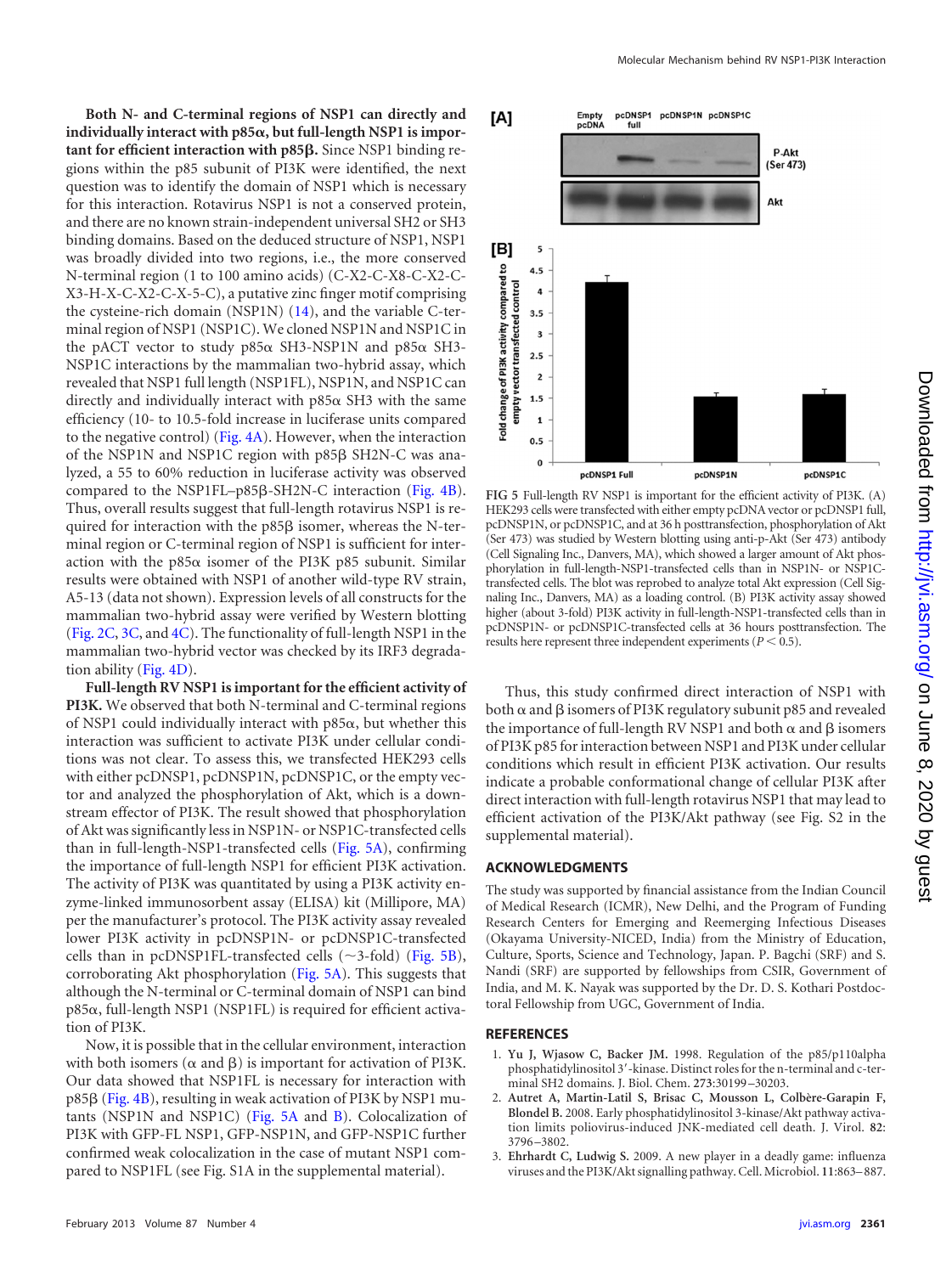**Both N- and C-terminal regions of NSP1 can directly and individually interact with p85, but full-length NSP1 is important for efficient interaction with p85β.** Since NSP1 binding regions within the p85 subunit of PI3K were identified, the next question was to identify the domain of NSP1 which is necessary for this interaction. Rotavirus NSP1 is not a conserved protein, and there are no known strain-independent universal SH2 or SH3 binding domains. Based on the deduced structure of NSP1, NSP1 was broadly divided into two regions, i.e., the more conserved N-terminal region (1 to 100 amino acids) (C-X2-C-X8-C-X2-C-X3-H-X-C-X2-C-X-5-C), a putative zinc finger motif comprising the cysteine-rich domain (NSP1N) [\(14\)](#page-4-7), and the variable C-terminal region of NSP1 (NSP1C). We cloned NSP1N and NSP1C in the pACT vector to study  $p85\alpha$  SH3-NSP1N and  $p85\alpha$  SH3-NSP1C interactions by the mammalian two-hybrid assay, which revealed that NSP1 full length (NSP1FL), NSP1N, and NSP1C can directly and individually interact with  $p85\alpha$  SH3 with the same efficiency (10- to 10.5-fold increase in luciferase units compared to the negative control) [\(Fig. 4A\)](#page-2-0). However, when the interaction of the NSP1N and NSP1C region with p85ß SH2N-C was analyzed, a 55 to 60% reduction in luciferase activity was observed compared to the NSP1FL-p85ß-SH2N-C interaction [\(Fig. 4B\)](#page-2-0). Thus, overall results suggest that full-length rotavirus NSP1 is required for interaction with the  $p85\beta$  isomer, whereas the N-terminal region or C-terminal region of NSP1 is sufficient for interaction with the p85 $\alpha$  isomer of the PI3K p85 subunit. Similar results were obtained with NSP1 of another wild-type RV strain, A5-13 (data not shown). Expression levels of all constructs for the mammalian two-hybrid assay were verified by Western blotting [\(Fig. 2C,](#page-1-0) [3C,](#page-1-1) and [4C\)](#page-2-0). The functionality of full-length NSP1 in the mammalian two-hybrid vector was checked by its IRF3 degradation ability [\(Fig. 4D\)](#page-2-0).

**Full-length RV NSP1 is important for the efficient activity of PI3K.** We observed that both N-terminal and C-terminal regions of NSP1 could individually interact with  $p85\alpha$ , but whether this interaction was sufficient to activate PI3K under cellular conditions was not clear. To assess this, we transfected HEK293 cells with either pcDNSP1, pcDNSP1N, pcDNSP1C, or the empty vector and analyzed the phosphorylation of Akt, which is a downstream effector of PI3K. The result showed that phosphorylation of Akt was significantly less in NSP1N- or NSP1C-transfected cells than in full-length-NSP1-transfected cells [\(Fig. 5A\)](#page-3-2), confirming the importance of full-length NSP1 for efficient PI3K activation. The activity of PI3K was quantitated by using a PI3K activity enzyme-linked immunosorbent assay (ELISA) kit (Millipore, MA) per the manufacturer's protocol. The PI3K activity assay revealed lower PI3K activity in pcDNSP1N- or pcDNSP1C-transfected cells than in pcDNSP1FL-transfected cells  $(\sim$ 3-fold) [\(Fig. 5B\)](#page-3-2), corroborating Akt phosphorylation [\(Fig. 5A\)](#page-3-2). This suggests that although the N-terminal or C-terminal domain of NSP1 can bind  $p85\alpha$ , full-length NSP1 (NSP1FL) is required for efficient activation of PI3K.

Now, it is possible that in the cellular environment, interaction with both isomers ( $\alpha$  and  $\beta$ ) is important for activation of PI3K. Our data showed that NSP1FL is necessary for interaction with p85ß [\(Fig. 4B\)](#page-2-0), resulting in weak activation of PI3K by NSP1 mutants (NSP1N and NSP1C) [\(Fig. 5A](#page-3-2) and [B\)](#page-3-2). Colocalization of PI3K with GFP-FL NSP1, GFP-NSP1N, and GFP-NSP1C further confirmed weak colocalization in the case of mutant NSP1 compared to NSP1FL (see Fig. S1A in the supplemental material).



<span id="page-3-2"></span>**FIG 5** Full-length RV NSP1 is important for the efficient activity of PI3K. (A) HEK293 cells were transfected with either empty pcDNA vector or pcDNSP1 full, pcDNSP1N, or pcDNSP1C, and at 36 h posttransfection, phosphorylation of Akt (Ser 473) was studied by Western blotting using anti-p-Akt (Ser 473) antibody (Cell Signaling Inc., Danvers, MA), which showed a larger amount of Akt phosphorylation in full-length-NSP1-transfected cells than in NSP1N- or NSP1Ctransfected cells. The blot was reprobed to analyze total Akt expression (Cell Signaling Inc., Danvers, MA) as a loading control. (B) PI3K activity assay showed higher (about 3-fold) PI3K activity in full-length-NSP1-transfected cells than in pcDNSP1N- or pcDNSP1C-transfected cells at 36 hours posttransfection. The results here represent three independent experiments  $(P < 0.5)$ .

Thus, this study confirmed direct interaction of NSP1 with both  $\alpha$  and  $\beta$  isomers of PI3K regulatory subunit p85 and revealed the importance of full-length RV NSP1 and both  $\alpha$  and  $\beta$  isomers of PI3K p85 for interaction between NSP1 and PI3K under cellular conditions which result in efficient PI3K activation. Our results indicate a probable conformational change of cellular PI3K after direct interaction with full-length rotavirus NSP1 that may lead to efficient activation of the PI3K/Akt pathway (see Fig. S2 in the supplemental material).

## **ACKNOWLEDGMENTS**

The study was supported by financial assistance from the Indian Council of Medical Research (ICMR), New Delhi, and the Program of Funding Research Centers for Emerging and Reemerging Infectious Diseases (Okayama University-NICED, India) from the Ministry of Education, Culture, Sports, Science and Technology, Japan. P. Bagchi (SRF) and S. Nandi (SRF) are supported by fellowships from CSIR, Government of India, and M. K. Nayak was supported by the Dr. D. S. Kothari Postdoctoral Fellowship from UGC, Government of India.

## <span id="page-3-0"></span>**REFERENCES**

- <span id="page-3-1"></span>1. **Yu J, Wjasow C, Backer JM.** 1998. Regulation of the p85/p110alpha phosphatidylinositol 3'-kinase. Distinct roles for the n-terminal and c-terminal SH2 domains. J. Biol. Chem. **273**:30199 –30203.
- 2. **Autret A, Martin-Latil S, Brisac C, Mousson L, Colbère-Garapin F, Blondel B.** 2008. Early phosphatidylinositol 3-kinase/Akt pathway activation limits poliovirus-induced JNK-mediated cell death. J. Virol. **82**: 3796 –3802.
- 3. **Ehrhardt C, Ludwig S.** 2009. A new player in a deadly game: influenza viruses and the PI3K/Akt signalling pathway. Cell. Microbiol. **11**:863–887.